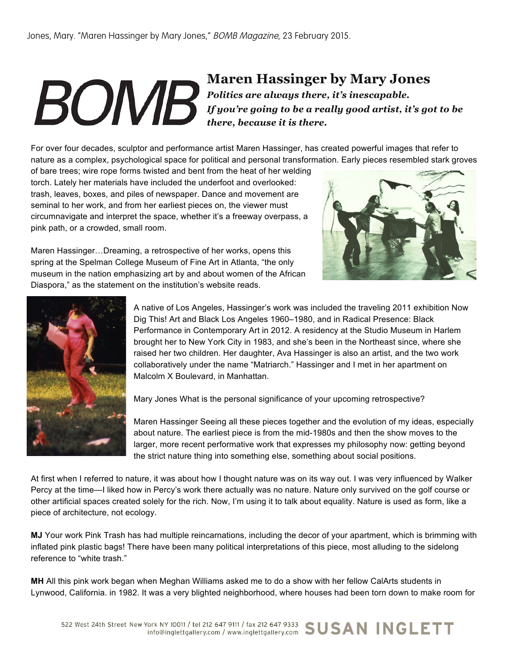## **Maren Hassinger by Mary Jones** *Politics are always there, it's inescapable. If you're going to be a really good artist, it's got to be there, because it is there.*

For over four decades, sculptor and performance artist Maren Hassinger, has created powerful images that refer to nature as a complex, psychological space for political and personal transformation. Early pieces resembled stark groves

of bare trees; wire rope forms twisted and bent from the heat of her welding torch. Lately her materials have included the underfoot and overlooked: trash, leaves, boxes, and piles of newspaper. Dance and movement are seminal to her work, and from her earliest pieces on, the viewer must circumnavigate and interpret the space, whether it's a freeway overpass, a pink path, or a crowded, small room.



Maren Hassinger…Dreaming, a retrospective of her works, opens this spring at the Spelman College Museum of Fine Art in Atlanta, "the only museum in the nation emphasizing art by and about women of the African Diaspora," as the statement on the institution's website reads.



A native of Los Angeles, Hassinger's work was included the traveling 2011 exhibition Now Dig This! Art and Black Los Angeles 1960–1980, and in Radical Presence: Black Performance in Contemporary Art in 2012. A residency at the Studio Museum in Harlem brought her to New York City in 1983, and she's been in the Northeast since, where she raised her two children. Her daughter, Ava Hassinger is also an artist, and the two work collaboratively under the name "Matriarch." Hassinger and I met in her apartment on Malcolm X Boulevard, in Manhattan.

Mary Jones What is the personal significance of your upcoming retrospective?

Maren Hassinger Seeing all these pieces together and the evolution of my ideas, especially about nature. The earliest piece is from the mid-1980s and then the show moves to the larger, more recent performative work that expresses my philosophy now: getting beyond the strict nature thing into something else, something about social positions.

At first when I referred to nature, it was about how I thought nature was on its way out. I was very influenced by Walker Percy at the time—I liked how in Percy's work there actually was no nature. Nature only survived on the golf course or other artificial spaces created solely for the rich. Now, I'm using it to talk about equality. Nature is used as form, like a piece of architecture, not ecology.

**MJ** Your work Pink Trash has had multiple reincarnations, including the decor of your apartment, which is brimming with inflated pink plastic bags! There have been many political interpretations of this piece, most alluding to the sidelong reference to "white trash."

**MH** All this pink work began when Meghan Williams asked me to do a show with her fellow CalArts students in Lynwood, California. in 1982. It was a very blighted neighborhood, where houses had been torn down to make room for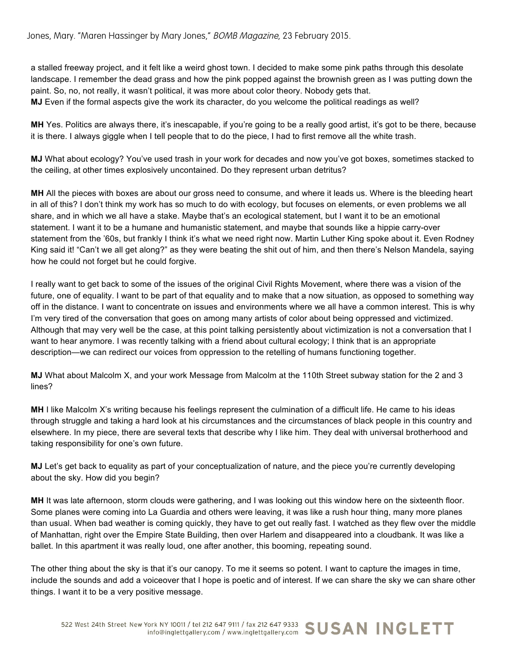a stalled freeway project, and it felt like a weird ghost town. I decided to make some pink paths through this desolate landscape. I remember the dead grass and how the pink popped against the brownish green as I was putting down the paint. So, no, not really, it wasn't political, it was more about color theory. Nobody gets that. **MJ** Even if the formal aspects give the work its character, do you welcome the political readings as well?

**MH** Yes. Politics are always there, it's inescapable, if you're going to be a really good artist, it's got to be there, because it is there. I always giggle when I tell people that to do the piece, I had to first remove all the white trash.

**MJ** What about ecology? You've used trash in your work for decades and now you've got boxes, sometimes stacked to the ceiling, at other times explosively uncontained. Do they represent urban detritus?

**MH** All the pieces with boxes are about our gross need to consume, and where it leads us. Where is the bleeding heart in all of this? I don't think my work has so much to do with ecology, but focuses on elements, or even problems we all share, and in which we all have a stake. Maybe that's an ecological statement, but I want it to be an emotional statement. I want it to be a humane and humanistic statement, and maybe that sounds like a hippie carry-over statement from the '60s, but frankly I think it's what we need right now. Martin Luther King spoke about it. Even Rodney King said it! "Can't we all get along?" as they were beating the shit out of him, and then there's Nelson Mandela, saying how he could not forget but he could forgive.

I really want to get back to some of the issues of the original Civil Rights Movement, where there was a vision of the future, one of equality. I want to be part of that equality and to make that a now situation, as opposed to something way off in the distance. I want to concentrate on issues and environments where we all have a common interest. This is why I'm very tired of the conversation that goes on among many artists of color about being oppressed and victimized. Although that may very well be the case, at this point talking persistently about victimization is not a conversation that I want to hear anymore. I was recently talking with a friend about cultural ecology; I think that is an appropriate description—we can redirect our voices from oppression to the retelling of humans functioning together.

**MJ** What about Malcolm X, and your work Message from Malcolm at the 110th Street subway station for the 2 and 3 lines?

**MH** I like Malcolm X's writing because his feelings represent the culmination of a difficult life. He came to his ideas through struggle and taking a hard look at his circumstances and the circumstances of black people in this country and elsewhere. In my piece, there are several texts that describe why I like him. They deal with universal brotherhood and taking responsibility for one's own future.

**MJ** Let's get back to equality as part of your conceptualization of nature, and the piece you're currently developing about the sky. How did you begin?

**MH** It was late afternoon, storm clouds were gathering, and I was looking out this window here on the sixteenth floor. Some planes were coming into La Guardia and others were leaving, it was like a rush hour thing, many more planes than usual. When bad weather is coming quickly, they have to get out really fast. I watched as they flew over the middle of Manhattan, right over the Empire State Building, then over Harlem and disappeared into a cloudbank. It was like a ballet. In this apartment it was really loud, one after another, this booming, repeating sound.

The other thing about the sky is that it's our canopy. To me it seems so potent. I want to capture the images in time, include the sounds and add a voiceover that I hope is poetic and of interest. If we can share the sky we can share other things. I want it to be a very positive message.